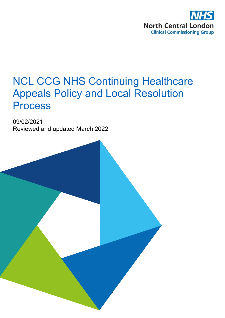

# NCL CCG NHS Continuing Healthcare Appeals Policy and Local Resolution Process

09/02/2021 Reviewed and updated March 2022

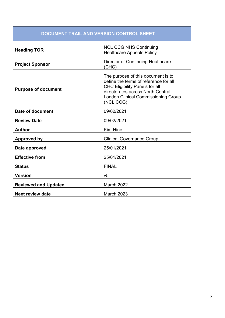| DOCUMENT TRAIL AND VERSION CONTROL SHEET |                                                                                                                                                                                                                      |  |
|------------------------------------------|----------------------------------------------------------------------------------------------------------------------------------------------------------------------------------------------------------------------|--|
| <b>Heading TOR</b>                       | <b>NCL CCG NHS Continuing</b><br><b>Healthcare Appeals Policy</b>                                                                                                                                                    |  |
| <b>Project Sponsor</b>                   | Director of Continuing Healthcare<br>(CHC)                                                                                                                                                                           |  |
| <b>Purpose of document</b>               | The purpose of this document is to<br>define the terms of reference for all<br><b>CHC Eligibility Panels for all</b><br>directorates across North Central<br><b>London Clinical Commissioning Group</b><br>(NCL CCG) |  |
| Date of document                         | 09/02/2021                                                                                                                                                                                                           |  |
| <b>Review Date</b>                       | 09/02/2021                                                                                                                                                                                                           |  |
| <b>Author</b>                            | <b>Kim Hine</b>                                                                                                                                                                                                      |  |
| <b>Approved by</b>                       | <b>Clinical Governance Group</b>                                                                                                                                                                                     |  |
| Date approved                            | 25/01/2021                                                                                                                                                                                                           |  |
| <b>Effective from</b>                    | 25/01/2021                                                                                                                                                                                                           |  |
| <b>Status</b>                            | <b>FINAL</b>                                                                                                                                                                                                         |  |
| <b>Version</b>                           | V <sub>5</sub>                                                                                                                                                                                                       |  |
| <b>Reviewed and Updated</b>              | March 2022                                                                                                                                                                                                           |  |
| <b>Next review date</b>                  | <b>March 2023</b>                                                                                                                                                                                                    |  |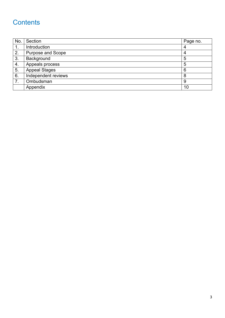## **Contents**

| No.            | Section              | Page no. |
|----------------|----------------------|----------|
| $\mathbf{1}$ . | Introduction         | 4        |
| 2.             | Purpose and Scope    | 4        |
| 3.             | Background           | 5        |
| 4.             | Appeals process      | 5        |
| 5.             | <b>Appeal Stages</b> | 6        |
| 6.             | Independent reviews  | 8        |
| 7.             | Ombudsman            | 9        |
|                | Appendix             | 10       |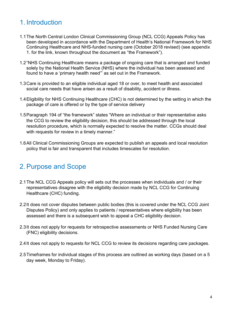## 1. Introduction

- 1.1The North Central London Clinical Commissioning Group (NCL CCG) Appeals Policy has been developed in accordance with the Department of Health's National Framework for NHS Continuing Healthcare and NHS-funded nursing care (October 2018 revised) (see appendix 1. for the link, known throughout the document as "the Framework").
- 1.2"NHS Continuing Healthcare means a package of ongoing care that is arranged and funded solely by the National Health Service (NHS) where the individual has been assessed and found to have a 'primary health need'" as set out in the Framework.
- 1.3Care is provided to an eligible individual aged 18 or over, to meet health and associated social care needs that have arisen as a result of disability, accident or illness.
- 1.4Eligibility for NHS Continuing Healthcare (CHC) is not determined by the setting in which the package of care is offered or by the type of service delivery
- 1.5Paragraph 194 of "the framework" states "Where an individual or their representative asks the CCG to review the eligibility decision, this should be addressed through the local resolution procedure, which is normally expected to resolve the matter. CCGs should deal with requests for review in a timely manner."
- 1.6All Clinical Commissioning Groups are expected to publish an appeals and local resolution policy that is fair and transparent that includes timescales for resolution.

#### 2. Purpose and Scope

- 2.1The NCL CCG Appeals policy will sets out the processes when individuals and / or their representatives disagree with the eligibility decision made by NCL CCG for Continuing Healthcare (CHC) funding.
- 2.2It does not cover disputes between public bodies (this is covered under the NCL CCG Joint Disputes Policy) and only applies to patients / representatives where eligibility has been assessed and there is a subsequent wish to appeal a CHC eligibility decision.
- 2.3It does not apply for requests for retrospective assessments or NHS Funded Nursing Care (FNC) eligibility decisions.
- 2.4It does not apply to requests for NCL CCG to review its decisions regarding care packages.
- 2.5Timeframes for individual stages of this process are outlined as working days (based on a 5 day week, Monday to Friday).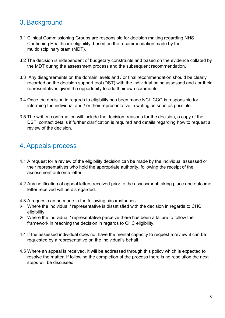### 3. Background

- 3.1 Clinical Commissioning Groups are responsible for decision making regarding NHS Continuing Healthcare eligibility, based on the recommendation made by the multidisciplinary team (MDT).
- 3.2 The decision is independent of budgetary constraints and based on the evidence collated by the MDT during the assessment process and the subsequent recommendation.
- 3.3 Any disagreements on the domain levels and / or final recommendation should be clearly recorded on the decision support tool (DST) with the individual being assessed and / or their representatives given the opportunity to add their own comments.
- 3.4 Once the decision in regards to eligibility has been made NCL CCG is responsible for informing the individual and / or their representative in writing as soon as possible.
- 3.5 The written confirmation will include the decision, reasons for the decision, a copy of the DST, contact details if further clarification is required and details regarding how to request a review of the decision.

#### 4. Appeals process

- 4.1 A request for a review of the eligibility decision can be made by the individual assessed or their representatives who hold the appropriate authority, following the receipt of the assessment outcome letter.
- 4.2 Any notification of appeal letters received prior to the assessment taking place and outcome letter received will be disregarded.
- 4.3 A request can be made in the following circumstances:
- $\triangleright$  Where the individual / representative is dissatisfied with the decision in regards to CHC eligibility
- $\triangleright$  Where the individual / representative perceive there has been a failure to follow the framework in reaching the decision in regards to CHC eligibility.
- 4.4 If the assessed individual does not have the mental capacity to request a review it can be requested by a representative on the individual's behalf.
- 4.5 Where an appeal is received, it will be addressed through this policy which is expected to resolve the matter. If following the completion of the process there is no resolution the next steps will be discussed.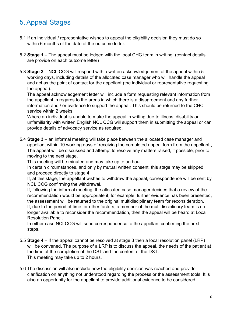## 5. Appeal Stages

- 5.1 If an individual / representative wishes to appeal the eligibility decision they must do so within 6 months of the date of the outcome letter.
- 5.2 **Stage 1** The appeal must be lodged with the local CHC team in writing. (contact details are provide on each outcome letter)
- 5.3 **Stage 2** NCL CCG will respond with a written acknowledgement of the appeal within 5 working days, including details of the allocated case manager who will handle the appeal and act as the point of contact for the appellant (the individual or representative requesting the appeal).

The appeal acknowledgement letter will include a form requesting relevant information from the appellant in regards to the areas in which there is a disagreement and any further information and / or evidence to support the appeal. This should be returned to the CHC service within 2 weeks.

Where an individual is unable to make the appeal in writing due to illness, disability or unfamiliarity with written English NCL CCG will support them in submitting the appeal or can provide details of advocacy service as required.

5.4 **Stage 3** – an informal meeting will take place between the allocated case manager and appellant within 10 working days of receiving the completed appeal form from the appellant., The appeal will be discussed and attempt to resolve any matters raised, if possible, prior to moving to the next stage.

This meeting will be minuted and may take up to an hour.

In certain circumstances, and only by mutual written consent, this stage may be skipped and proceed directly to stage 4.

If, at this stage, the appellant wishes to withdraw the appeal, correspondence will be sent by NCL CCG confirming the withdrawal.

If, following the informal meeting, the allocated case manager decides that a review of the recommendation would be appropriate if, for example, further evidence has been presented, the assessment will be returned to the original multidisciplinary team for reconsideration. If, due to the period of time, or other factors, a member of the multidisciplinary team is no longer available to reconsider the recommendation, then the appeal will be heard at Local Resolution Panel.

In either case NCLCCG will send correspondence to the appellant confirming the next steps.

- 5.5 **Stage 4** If the appeal cannot be resolved at stage 3 then a local resolution panel (LRP) will be convened. The purpose of a LRP is to discuss the appeal, the needs of the patient at the time of the completion of the DST and the content of the DST. This meeting may take up to 2 hours.
- 5.6 The discussion will also include how the eligibility decision was reached and provide clarification on anything not understood regarding the process or the assessment tools. It is also an opportunity for the appellant to provide additional evidence to be considered.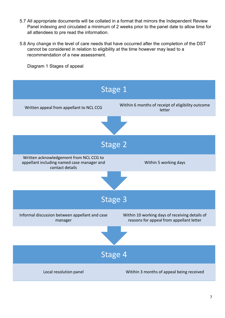- 5.7 All appropriate documents will be collated in a format that mirrors the Independent Review Panel indexing and circulated a minimum of 2 weeks prior to the panel date to allow time for all attendees to pre read the information.
- 5.8 Any change in the level of care needs that have occurred after the completion of the DST cannot be considered in relation to eligibility at the time however may lead to a recommendation of a new assessment.

Diagram 1 Stages of appeal

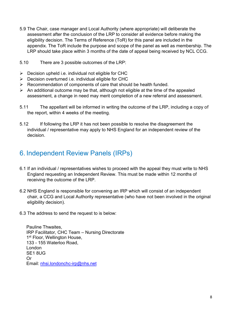- 5.9 The Chair, case manager and Local Authority (where appropriate) will deliberate the assessment after the conclusion of the LRP to consider all evidence before making the eligibility decision. The Terms of Reference (ToR) for this panel are included in the appendix. The ToR include the purpose and scope of the panel as well as membership. The LRP should take place within 3 months of the date of appeal being received by NCL CCG.
- 5.10 There are 3 possible outcomes of the LRP:
- $\triangleright$  Decision upheld i.e. individual not eligible for CHC
- $\triangleright$  Decision overturned i.e. individual eligible for CHC
- $\triangleright$  Recommendation of components of care that should be health funded.
- $\triangleright$  An additional outcome may be that, although not eligible at the time of the appealed assessment, a change in need may merit completion of a new referral and assessment.
- 5.11 The appellant will be informed in writing the outcome of the LRP, including a copy of the report, within 4 weeks of the meeting.
- 5.12 If following the LRP it has not been possible to resolve the disagreement the individual / representative may apply to NHS England for an independent review of the decision.

#### 6. Independent Review Panels (IRPs)

- 6.1 If an individual / representatives wishes to proceed with the appeal they must write to NHS England requesting an Independent Review. This must be made within 12 months of receiving the outcome of the LRP.
- 6.2 NHS England is responsible for convening an IRP which will consist of an independent chair, a CCG and Local Authority representative (who have not been involved in the original eligibility decision).
- 6.3 The address to send the request to is below:

Pauline Thwaites, IRP Facilitator, CHC Team – Nursing Directorate 1<sup>st</sup> Floor, Wellington House, 133 - 155 Waterloo Road, London SE1 8UG Or Email: [nhsi.londonchc-irp@nhs.net](mailto:nhsi.londonchc-irp@nhs.net)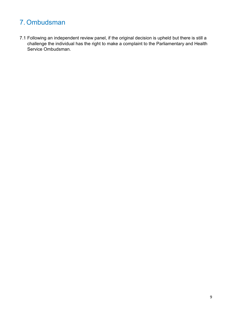## 7. Ombudsman

7.1 Following an independent review panel, if the original decision is upheld but there is still a challenge the individual has the right to make a complaint to the Parliamentary and Health Service Ombudsman.